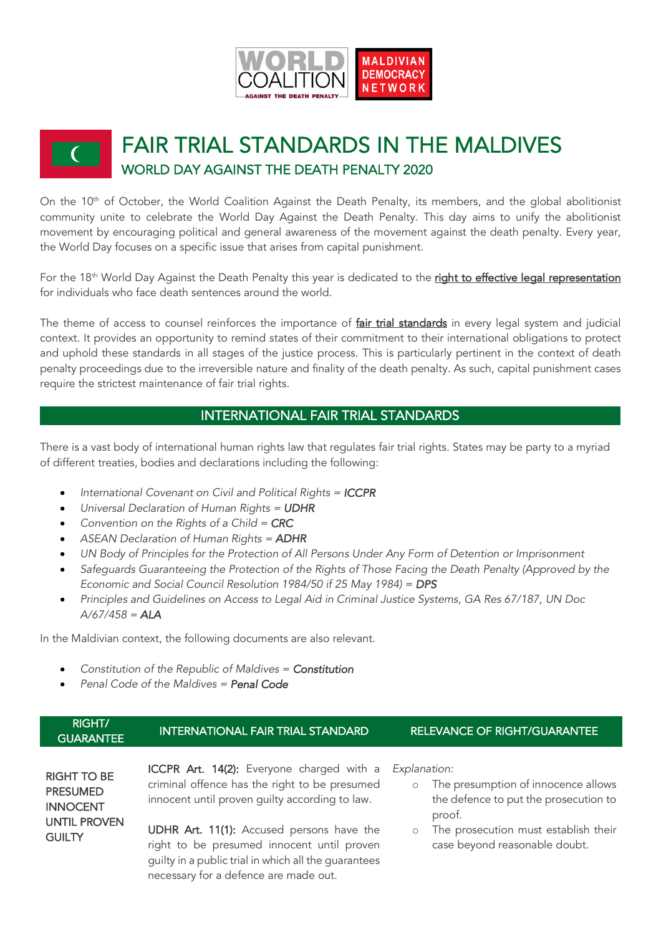

# FAIR TRIAL STANDARDS IN THE MALDIVES WORLD DAY AGAINST THE DEATH PENALTY 2020

On the 10<sup>th</sup> of October, the World Coalition Against the Death Penalty, its members, and the global abolitionist community unite to celebrate the World Day Against the Death Penalty. This day aims to unify the abolitionist movement by encouraging political and general awareness of the movement against the death penalty. Every year, the World Day focuses on a specific issue that arises from capital punishment.

For the 18<sup>th</sup> World Day Against the Death Penalty this year is dedicated to the right to effective legal representation for individuals who face death sentences around the world.

The theme of access to counsel reinforces the importance of fair trial standards in every legal system and judicial context. It provides an opportunity to remind states of their commitment to their international obligations to protect and uphold these standards in all stages of the justice process. This is particularly pertinent in the context of death penalty proceedings due to the irreversible nature and finality of the death penalty. As such, capital punishment cases require the strictest maintenance of fair trial rights.

# INTERNATIONAL FAIR TRIAL STANDARDS

There is a vast body of international human rights law that regulates fair trial rights. States may be party to a myriad of different treaties, bodies and declarations including the following:

- *International Covenant on Civil and Political Rights = ICCPR*
- *Universal Declaration of Human Rights = UDHR*
- *Convention on the Rights of a Child = CRC*
- *ASEAN Declaration of Human Rights = ADHR*
- *UN Body of Principles for the Protection of All Persons Under Any Form of Detention or Imprisonment*
- *Safeguards Guaranteeing the Protection of the Rights of Those Facing the Death Penalty (Approved by the Economic and Social Council Resolution 1984/50 if 25 May 1984) = DPS*
- *Principles and Guidelines on Access to Legal Aid in Criminal Justice Systems, GA Res 67/187, UN Doc A/67/458 = ALA*

In the Maldivian context, the following documents are also relevant.

- *Constitution of the Republic of Maldives = Constitution*
- *Penal Code of the Maldives = Penal Code*

| 'RIGHT/.<br><b>GUARANTEE</b> | <b>INTERNATIONAL FAIR TRIAL STANDARD</b> | I RELEVANCE OF RIGHT/GUARANTEE ' |
|------------------------------|------------------------------------------|----------------------------------|
|                              |                                          |                                  |

RIGHT TO BE PRESUMED INNOCENT UNTIL PROVEN **GUILTY** 

ICCPR Art. 14(2): Everyone charged with a criminal offence has the right to be presumed innocent until proven guilty according to law.

UDHR Art. 11(1): Accused persons have the right to be presumed innocent until proven guilty in a public trial in which all the guarantees necessary for a defence are made out.

*Explanation:*

- o The presumption of innocence allows the defence to put the prosecution to proof.
- o The prosecution must establish their case beyond reasonable doubt.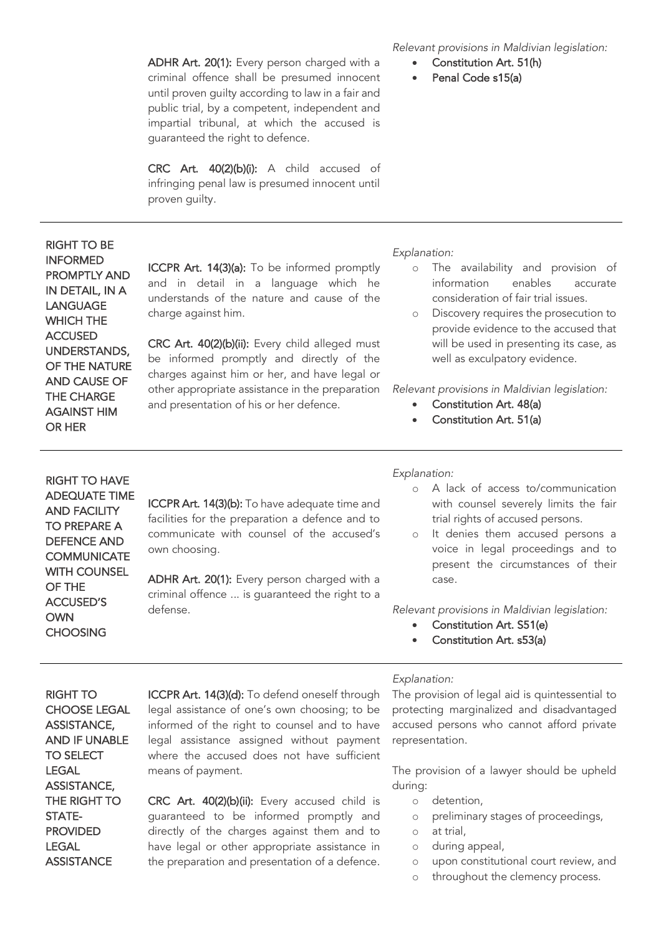ADHR Art. 20(1): Every person charged with a criminal offence shall be presumed innocent until proven guilty according to law in a fair and public trial, by a competent, independent and impartial tribunal, at which the accused is guaranteed the right to defence.

CRC Art. 40(2)(b)(i): A child accused of infringing penal law is presumed innocent until proven guilty.

## RIGHT TO BE INFORMED PROMPTLY AND IN DETAIL, IN A LANGUAGE WHICH THE ACCUSED UNDERSTANDS, OF THE NATURE AND CAUSE OF THE CHARGE AGAINST HIM OR HER

ICCPR Art. 14(3)(a): To be informed promptly and in detail in a language which he understands of the nature and cause of the charge against him.

CRC Art. 40(2)(b)(ii): Every child alleged must be informed promptly and directly of the charges against him or her, and have legal or other appropriate assistance in the preparation and presentation of his or her defence.

*Relevant provisions in Maldivian legislation:* 

- Constitution Art. 51(h)
- Penal Code s15(a)

*Explanation:* 

- o The availability and provision of information enables accurate consideration of fair trial issues.
- o Discovery requires the prosecution to provide evidence to the accused that will be used in presenting its case, as well as exculpatory evidence.

*Relevant provisions in Maldivian legislation:*

- Constitution Art. 48(a)
- Constitution Art. 51(a)

RIGHT TO HAVE ADEQUATE TIME AND FACILITY TO PREPARE A DEFENCE AND **COMMUNICATE** WITH COUNSEL OF THE ACCUSED'S OWN **CHOOSING** 

ICCPR Art. 14(3)(b): To have adequate time and facilities for the preparation a defence and to communicate with counsel of the accused's own choosing.

ADHR Art. 20(1): Every person charged with a criminal offence ... is guaranteed the right to a defense.

#### *Explanation:*

- o A lack of access to/communication with counsel severely limits the fair trial rights of accused persons.
- o It denies them accused persons a voice in legal proceedings and to present the circumstances of their case.

*Relevant provisions in Maldivian legislation:*

- Constitution Art. S51(e)
- Constitution Art. s53(a)

RIGHT TO CHOOSE LEGAL ASSISTANCE, AND IF UNABLE TO SELECT LEGAL ASSISTANCE, THE RIGHT TO STATE-PROVIDED **LEGAL ASSISTANCE** 

ICCPR Art. 14(3)(d): To defend oneself through legal assistance of one's own choosing; to be informed of the right to counsel and to have legal assistance assigned without payment where the accused does not have sufficient means of payment.

CRC Art. 40(2)(b)(ii): Every accused child is guaranteed to be informed promptly and directly of the charges against them and to have legal or other appropriate assistance in the preparation and presentation of a defence.

#### *Explanation:*

The provision of legal aid is quintessential to protecting marginalized and disadvantaged accused persons who cannot afford private representation.

The provision of a lawyer should be upheld during:

- o detention,
- o preliminary stages of proceedings,
- o at trial,
- o during appeal,
- o upon constitutional court review, and
- o throughout the clemency process.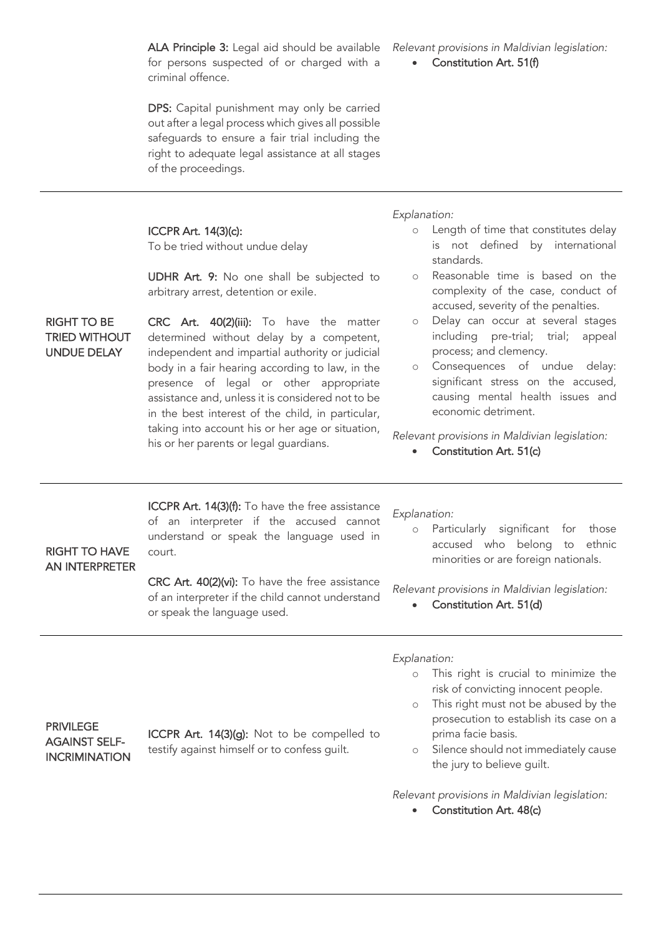ALA Principle 3: Legal aid should be available for persons suspected of or charged with a criminal offence.

DPS: Capital punishment may only be carried out after a legal process which gives all possible safeguards to ensure a fair trial including the right to adequate legal assistance at all stages of the proceedings.

*Relevant provisions in Maldivian legislation:*

Constitution Art. 51(f)

## ICCPR Art. 14(3)(c):

To be tried without undue delay

UDHR Art. 9: No one shall be subjected to arbitrary arrest, detention or exile.

CRC Art. 40(2)(iii): To have the matter determined without delay by a competent, independent and impartial authority or judicial body in a fair hearing according to law, in the presence of legal or other appropriate assistance and, unless it is considered not to be in the best interest of the child, in particular, taking into account his or her age or situation, his or her parents or legal guardians.

*Explanation:*

- o Length of time that constitutes delay is not defined by international standards.
- o Reasonable time is based on the complexity of the case, conduct of accused, severity of the penalties.
- o Delay can occur at several stages including pre-trial; trial; appeal process; and clemency.
- o Consequences of undue delay: significant stress on the accused, causing mental health issues and economic detriment.

*Relevant provisions in Maldivian legislation:*

• Constitution Art. 51(c)

ICCPR Art. 14(3)(f): To have the free assistance of an interpreter if the accused cannot understand or speak the language used in court.

## RIGHT TO HAVE AN INTERPRETER

RIGHT TO BE TRIED WITHOUT UNDUE DELAY

> CRC Art. 40(2)(vi): To have the free assistance of an interpreter if the child cannot understand or speak the language used.

*Explanation:*

o Particularly significant for those accused who belong to ethnic minorities or are foreign nationals.

*Relevant provisions in Maldivian legislation:*

• Constitution Art. 51(d)

*Explanation:*

- o This right is crucial to minimize the risk of convicting innocent people.
- o This right must not be abused by the prosecution to establish its case on a prima facie basis.
- o Silence should not immediately cause the jury to believe guilt.

*Relevant provisions in Maldivian legislation:*

• Constitution Art. 48(c)

PRIVILEGE AGAINST SELF-INCRIMINATION

ICCPR Art. 14(3)(g): Not to be compelled to testify against himself or to confess guilt.